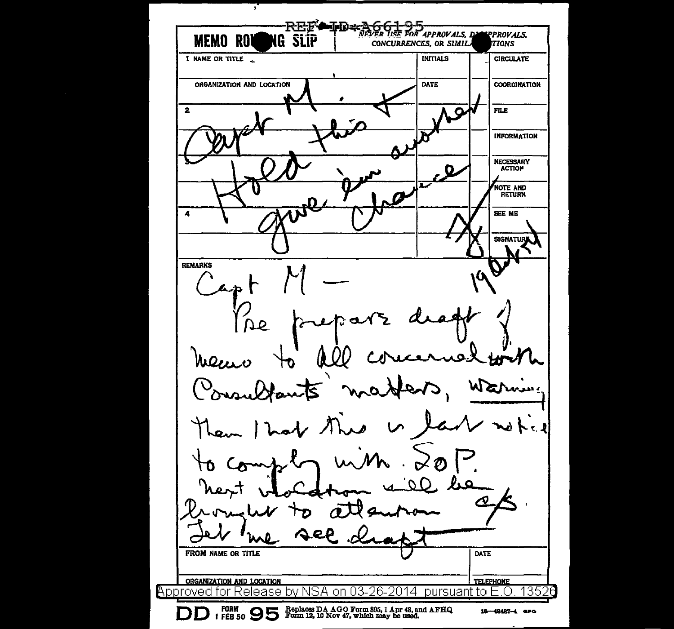7 Telebata<br>Telebata NEVER USE FOR APPROVALS, DAMPPROVALS, **MEMO ROI** NG SLIP CONCURRENCES, OR SIMIL. **TIONS** 1 NAME OR TITLE **INITIALS CIRCULATE** ORGANIZATION AND LOCATION DATE **COORDINATION**  $\mathbf{2}$ **FILE**  $\mathbf C$ INFORMATION NECESSARY<br>ACTION Ω NOTE AND<br>RETURN n 4 SEE ME SIGNATURE  $\frac{C_{\alpha+1}}{C_{\alpha+1}}$   $\frac{1}{\alpha+1}$ Pre prepare draft form Consultants masters, names Consumerants mayorie, w 6 part rédra ville bénéforme FROM NAME OR TITLE ORGANIZATION AND LOCATION **TELEPHONE** Approved for Release by NSA on 03-26-2014 pursuant to E.O 135 **D**  $_1$  FORM **9 5 95** Replaces DA AGO Form 805, 1 Apr 48, and AFHQ  $_1$  FEB 50 **955** Form 12, 10 Nov 47, which may be used. 16-48487-4 are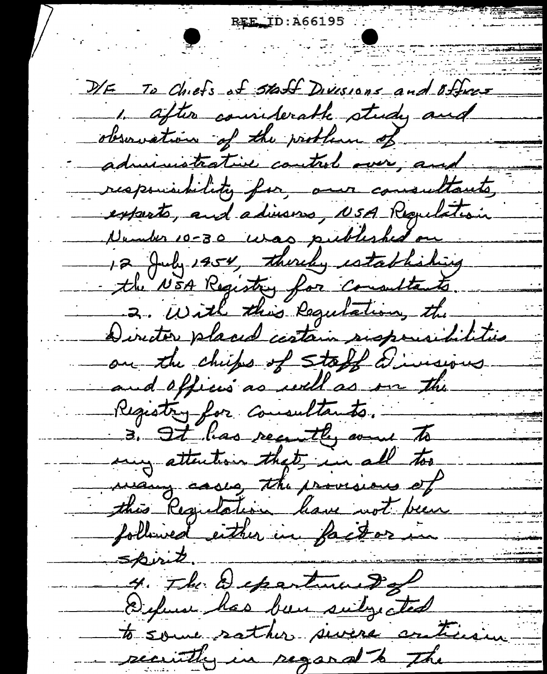REE ID: A66195 D/E To Chiefs at staff Divisions and Offices 1. after considerable study and observation of the problem of ng Kabupatèn Banggunan<br>Kabupatèn Banggunan administrative control over, and responsibility for our consultants exports, and advisors, NSA Regulation Number 10-30 was published on 12 July 1954, thereby establishing the NEA Registry for consultants. 2. With this Regulation, the in t Director placed centain suspensibilities on the chips of staff a insigns and offices as well as on the Registry for consultants. 3. It has recently went to my attention that in all too way cases the provisions of this Regulation have not been followed either in factor in spirit 4. The Department of Defense has been subjected to some sather sivers criticism security in regard to the